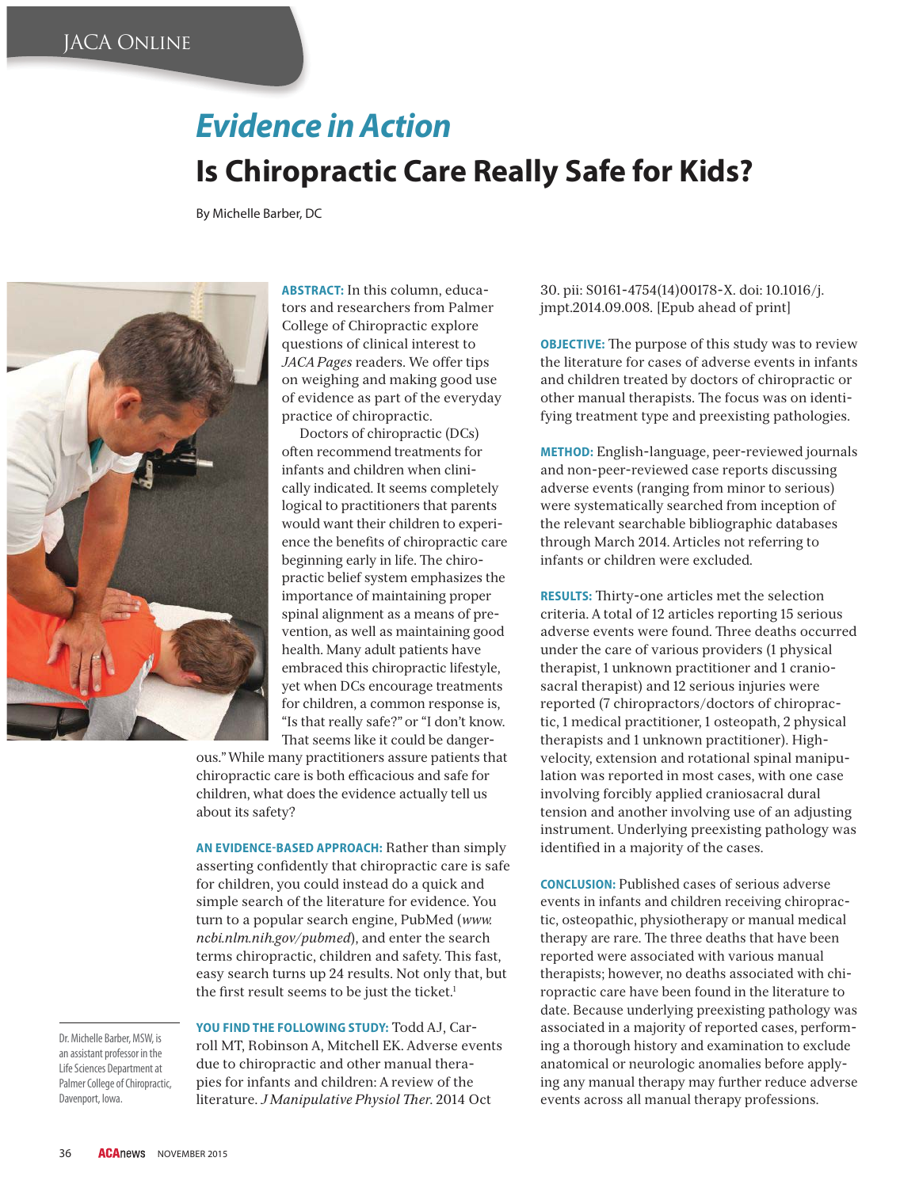# *Evidence in Action*

### **Is Chiropractic Care Really Safe for Kids?**

By Michelle Barber, DC



**ABSTRACT:** In this column, educators and researchers from Palmer College of Chiropractic explore questions of clinical interest to *JACA Pages* readers. We offer tips on weighing and making good use of evidence as part of the everyday practice of chiropractic.

Doctors of chiropractic (DCs) often recommend treatments for infants and children when clinically indicated. It seems completely logical to practitioners that parents would want their children to experience the benefits of chiropractic care beginning early in life. The chiropractic belief system emphasizes the importance of maintaining proper spinal alignment as a means of prevention, as well as maintaining good health. Many adult patients have embraced this chiropractic lifestyle, yet when DCs encourage treatments for children, a common response is, "Is that really safe?" or "I don't know. That seems like it could be danger-

ous." While many practitioners assure patients that chiropractic care is both efficacious and safe for children, what does the evidence actually tell us about its safety?

**AN EVIDENCE-BASED APPROACH:** Rather than simply asserting confidently that chiropractic care is safe for children, you could instead do a quick and simple search of the literature for evidence. You turn to a popular search engine, PubMed (*www. ncbi.nlm.nih.gov/pubmed*), and enter the search terms chiropractic, children and safety. This fast, easy search turns up 24 results. Not only that, but the first result seems to be just the ticket.<sup>1</sup>

Dr. Michelle Barber, MSW, is an assistant professor in the Life Sciences Department at Palmer College of Chiropractic, Davenport, Iowa. Davenport, Iowa.

**YOU FIND THE FOLLOWING STUDY:** Todd AJ, Carroll MT, Robinson A, Mitchell EK. Adverse events due to chiropractic and other manual therapies for infants and children: A review of the literature. *J Manipulative Physiol - er*. 2014 Oct

30. pii: S0161-4754(14)00178-X. doi: 10.1016/j. jmpt.2014.09.008. [Epub ahead of print]

**OBJECTIVE:** The purpose of this study was to review the literature for cases of adverse events in infants and children treated by doctors of chiropractic or other manual therapists. The focus was on identifying treatment type and preexisting pathologies.

**METHOD:** English-language, peer-reviewed journals and non-peer-reviewed case reports discussing adverse events (ranging from minor to serious) were systematically searched from inception of the relevant searchable bibliographic databases through March 2014. Articles not referring to infants or children were excluded.

RESULTS: Thirty-one articles met the selection criteria. A total of 12 articles reporting 15 serious adverse events were found. Three deaths occurred under the care of various providers (1 physical therapist, 1 unknown practitioner and 1 craniosacral therapist) and 12 serious injuries were reported (7 chiropractors/doctors of chiropractic, 1 medical practitioner, 1 osteopath, 2 physical therapists and 1 unknown practitioner). Highvelocity, extension and rotational spinal manipulation was reported in most cases, with one case involving forcibly applied craniosacral dural tension and another involving use of an adjusting instrument. Underlying preexisting pathology was identified in a majority of the cases.

**CONCLUSION:** Published cases of serious adverse events in infants and children receiving chiropractic, osteopathic, physiotherapy or manual medical therapy are rare. The three deaths that have been reported were associated with various manual therapists; however, no deaths associated with chiropractic care have been found in the literature to date. Because underlying preexisting pathology was associated in a majority of reported cases, performing a thorough history and examination to exclude anatomical or neurologic anomalies before applying any manual therapy may further reduce adverse events across all manual therapy professions.